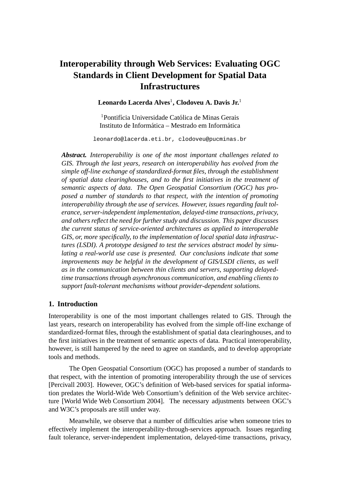# **Interoperability through Web Services: Evaluating OGC Standards in Client Development for Spatial Data Infrastructures**

**[Leonardo Lacerda Alves](http://www.lacerda.eti.br/)**<sup>1</sup> **, Clodoveu A. Davis Jr.**<sup>1</sup>

<sup>1</sup>Pontifícia Universidade Católica de Minas Gerais Instituto de Informática – Mestrado em Informática

leonardo@lacerda.eti.br, clodoveu@pucminas.br

*Abstract. Interoperability is one of the most important challenges related to GIS. Through the last years, research on interoperability has evolved from the simple off-line exchange of standardized-format files, through the establishment of spatial data clearinghouses, and to the first initiatives in the treatment of semantic aspects of data. The Open Geospatial Consortium (OGC) has proposed a number of standards to that respect, with the intention of promoting interoperability through the use of services. However, issues regarding fault tolerance, server-independent implementation, delayed-time transactions, privacy, and others reflect the need for further study and discussion. This paper discusses the current status of service-oriented architectures as applied to interoperable GIS, or, more specifically, to the implementation of local spatial data infrastructures (LSDI). A prototype designed to test the services abstract model by simulating a real-world use case is presented. Our conclusions indicate that some improvements may be helpful in the development of GIS/LSDI clients, as well as in the communication between thin clients and servers, supporting delayedtime transactions through asynchronous communication, and enabling clients to support fault-tolerant mechanisms without provider-dependent solutions.*

## **1. Introduction**

Interoperability is one of the most important challenges related to GIS. Through the last years, research on interoperability has evolved from the simple off-line exchange of standardized-format files, through the establishment of spatial data clearinghouses, and to the first initiatives in the treatment of semantic aspects of data. Practical interoperability, however, is still hampered by the need to agree on standards, and to develop appropriate tools and methods.

The Open Geospatial Consortium (OGC) has proposed a number of standards to that respect, with the intention of promoting interoperability through the use of services [\[Percivall 2003\]](#page-14-0). However, OGC's definition of Web-based services for spatial information predates the World-Wide Web Consortium's definition of the Web service architecture [\[World Wide Web Consortium 2004\]](#page-15-0). The necessary adjustments between OGC's and W3C's proposals are still under way.

Meanwhile, we observe that a number of difficulties arise when someone tries to effectively implement the interoperability-through-services approach. Issues regarding fault tolerance, server-independent implementation, delayed-time transactions, privacy,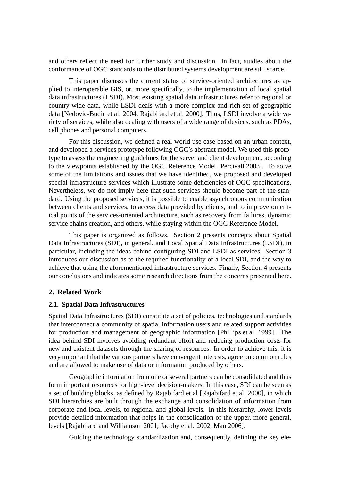and others reflect the need for further study and discussion. In fact, studies about the conformance of OGC standards to the distributed systems development are still scarce.

This paper discusses the current status of service-oriented architectures as applied to interoperable GIS, or, more specifically, to the implementation of local spatial data infrastructures (LSDI). Most existing spatial data infrastructures refer to regional or country-wide data, while LSDI deals with a more complex and rich set of geographic data [\[Nedovic-Budic et al. 2004,](#page-14-1) [Rajabifard et al. 2000\]](#page-14-2). Thus, LSDI involve a wide variety of services, while also dealing with users of a wide range of devices, such as PDAs, cell phones and personal computers.

For this discussion, we defined a real-world use case based on an urban context, and developed a services prototype following OGC's abstract model. We used this prototype to assess the engineering guidelines for the server and client development, according to the viewpoints established by the OGC Reference Model [\[Percivall 2003\]](#page-14-0). To solve some of the limitations and issues that we have identified, we proposed and developed special infrastructure services which illustrate some deficiencies of OGC specifications. Nevertheless, we do not imply here that such services should become part of the standard. Using the proposed services, it is possible to enable asynchronous communication between clients and services, to access data provided by clients, and to improve on critical points of the services-oriented architecture, such as recovery from failures, dynamic service chains creation, and others, while staying within the OGC Reference Model.

This paper is organized as follows. Section 2 presents concepts about Spatial Data Infrastructures (SDI), in general, and Local Spatial Data Infrastructures (LSDI), in particular, including the ideas behind configuring SDI and LSDI as services. Section 3 introduces our discussion as to the required functionality of a local SDI, and the way to achieve that using the aforementioned infrastructure services. Finally, Section 4 presents our conclusions and indicates some research directions from the concerns presented here.

## **2. Related Work**

#### **2.1. Spatial Data Infrastructures**

Spatial Data Infrastructures (SDI) constitute a set of policies, technologies and standards that interconnect a community of spatial information users and related support activities for production and management of geographic information [\[Phillips et al. 1999\]](#page-14-3). The idea behind SDI involves avoiding redundant effort and reducing production costs for new and existent datasets through the sharing of resources. In order to achieve this, it is very important that the various partners have convergent interests, agree on common rules and are allowed to make use of data or information produced by others.

Geographic information from one or several partners can be consolidated and thus form important resources for high-level decision-makers. In this case, SDI can be seen as a set of building blocks, as defined by Rajabifard et al [\[Rajabifard et al. 2000\]](#page-14-2), in which SDI hierarchies are built through the exchange and consolidation of information from corporate and local levels, to regional and global levels. In this hierarchy, lower levels provide detailed information that helps in the consolidation of the upper, more general, levels [\[Rajabifard and Williamson 2001,](#page-14-4) [Jacoby et al. 2002,](#page-13-0) [Man 2006\]](#page-14-5).

Guiding the technology standardization and, consequently, defining the key ele-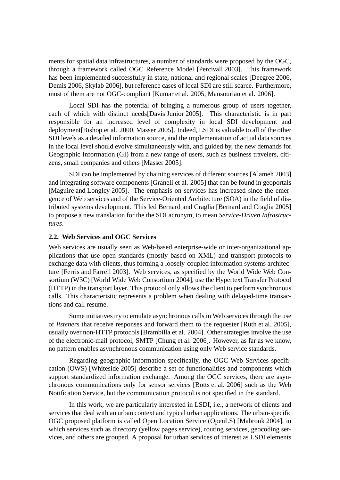ments for spatial data infrastructures, a number of standards were proposed by the OGC, through a framework called OGC Reference Model [\[Percivall 2003\]](#page-14-0). This framework has been implemented successfully in state, national and regional scales [\[Deegree 2006,](#page-13-1) [Demis 2006,](#page-13-2) [Skylab 2006\]](#page-14-6), but reference cases of local SDI are still scarce. Furthermore, most of them are not OGC-compliant [\[Kumar et al. 2005,](#page-14-7) [Mansourian et al. 2006\]](#page-14-8).

Local SDI has the potential of bringing a numerous group of users together, each of which with distinct needs[\[Davis Junior 2005\]](#page-13-3). This characteristic is in part responsible for an increased level of complexity in local SDI development and deployment[\[Bishop et al. 2000,](#page-13-4) [Masser 2005\]](#page-14-9). Indeed, LSDI is valuable to all of the other SDI levels as a detailed information source, and the implementation of actual data sources in the local level should evolve simultaneously with, and guided by, the new demands for Geographic Information (GI) from a new range of users, such as business travelers, citizens, small companies and others [\[Masser 2005\]](#page-14-9).

SDI can be implemented by chaining services of different sources [\[Alameh 2003\]](#page-13-5) and integrating software components [\[Granell et al. 2005\]](#page-13-6) that can be found in geoportals [\[Maguire and Longley 2005\]](#page-14-10). The emphasis on services has increased since the emergence of Web services and of the Service-Oriented Architecture (SOA) in the field of distributed systems development. This led Bernard and Craglia [\[Bernard and Craglia 2005\]](#page-13-7) to propose a new translation for the the SDI acronym, to mean *Service-Driven Infrastructures*.

#### **2.2. Web Services and OGC Services**

Web services are usually seen as Web-based enterprise-wide or inter-organizational applications that use open standards (mostly based on XML) and transport protocols to exchange data with clients, thus forming a loosely-coupled information systems architecture [\[Ferris and Farrell 2003\]](#page-13-8). Web services, as specified by the World Wide Web Consortium (W3C) [\[World Wide Web Consortium 2004\]](#page-15-0), use the Hypertext Transfer Protocol (HTTP) in the transport layer. This protocol only allows the client to perform synchronous calls. This characteristic represents a problem when dealing with delayed-time transactions and call resume.

Some initiatives try to emulate asynchronous calls in Web services through the use of *listeners* that receive responses and forward them to the requester [\[Ruth et al. 2005\]](#page-14-11), usually over non-HTTP protocols [\[Brambilla et al. 2004\]](#page-13-9). Other strategies involve the use of the electronic-mail protocol, SMTP [\[Chung et al. 2006\]](#page-13-10). However, as far as we know, no pattern enables asynchronous communication using only Web service standards.

Regarding geographic information specifically, the OGC Web Services specification (OWS) [\[Whiteside 2005\]](#page-15-1) describe a set of functionalities and components which support standardized information exchange. Among the OGC services, there are asynchronous communications only for sensor services [\[Botts et al. 2006\]](#page-13-11) such as the Web Notification Service, but the communication protocol is not specified in the standard.

In this work, we are particularly interested in LSDI, i.e., a network of clients and services that deal with an urban context and typical urban applications. The urban-specific OGC proposed platform is called Open Location Service (OpenLS) [\[Mabrouk 2004\]](#page-14-12), in which services such as directory (yellow pages service), routing services, geocoding services, and others are grouped. A proposal for urban services of interest as LSDI elements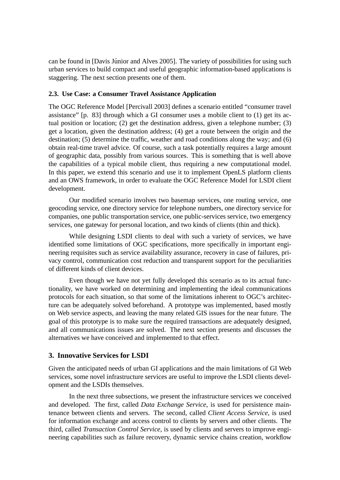can be found in [Davis Júnior and Alves 2005]. The variety of possibilities for using such urban services to build compact and useful geographic information-based applications is staggering. The next section presents one of them.

# **2.3. Use Case: a Consumer Travel Assistance Application**

The OGC Reference Model [\[Percivall 2003\]](#page-14-0) defines a scenario entitled "consumer travel assistance" [p. 83] through which a GI consumer uses a mobile client to (1) get its actual position or location; (2) get the destination address, given a telephone number; (3) get a location, given the destination address; (4) get a route between the origin and the destination; (5) determine the traffic, weather and road conditions along the way; and (6) obtain real-time travel advice. Of course, such a task potentially requires a large amount of geographic data, possibly from various sources. This is something that is well above the capabilities of a typical mobile client, thus requiring a new computational model. In this paper, we extend this scenario and use it to implement OpenLS platform clients and an OWS framework, in order to evaluate the OGC Reference Model for LSDI client development.

Our modified scenario involves two basemap services, one routing service, one geocoding service, one directory service for telephone numbers, one directory service for companies, one public transportation service, one public-services service, two emergency services, one gateway for personal location, and two kinds of clients (thin and thick).

While designing LSDI clients to deal with such a variety of services, we have identified some limitations of OGC specifications, more specifically in important engineering requisites such as service availability assurance, recovery in case of failures, privacy control, communication cost reduction and transparent support for the peculiarities of different kinds of client devices.

Even though we have not yet fully developed this scenario as to its actual functionality, we have worked on determining and implementing the ideal communications protocols for each situation, so that some of the limitations inherent to OGC's architecture can be adequately solved beforehand. A prototype was implemented, based mostly on Web service aspects, and leaving the many related GIS issues for the near future. The goal of this prototype is to make sure the required transactions are adequately designed, and all communications issues are solved. The next section presents and discusses the alternatives we have conceived and implemented to that effect.

# **3. Innovative Services for LSDI**

Given the anticipated needs of urban GI applications and the main limitations of GI Web services, some novel infrastructure services are useful to improve the LSDI clients development and the LSDIs themselves.

In the next three subsections, we present the infrastructure services we conceived and developed. The first, called *Data Exchange Service*, is used for persistence maintenance between clients and servers. The second, called *Client Access Service*, is used for information exchange and access control to clients by servers and other clients. The third, called *Transaction Control Service*, is used by clients and servers to improve engineering capabilities such as failure recovery, dynamic service chains creation, workflow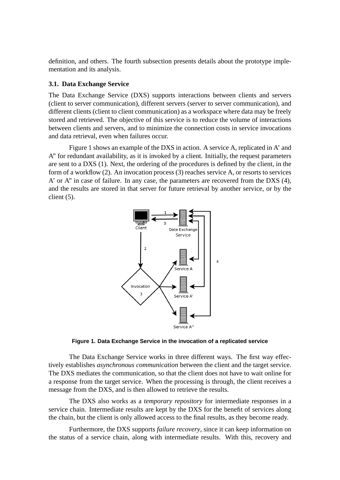definition, and others. The fourth subsection presents details about the prototype implementation and its analysis.

## **3.1. Data Exchange Service**

The Data Exchange Service (DXS) supports interactions between clients and servers (client to server communication), different servers (server to server communication), and different clients (client to client communication) as a workspace where data may be freely stored and retrieved. The objective of this service is to reduce the volume of interactions between clients and servers, and to minimize the connection costs in service invocations and data retrieval, even when failures occur.

Figure [1](#page-4-0) shows an example of the DXS in action. A service A, replicated in A' and A" for redundant availability, as it is invoked by a client. Initially, the request parameters are sent to a DXS (1). Next, the ordering of the procedures is defined by the client, in the form of a workflow (2). An invocation process (3) reaches service A, or resorts to services A' or A" in case of failure. In any case, the parameters are recovered from the DXS (4), and the results are stored in that server for future retrieval by another service, or by the client (5).



**Figure 1. Data Exchange Service in the invocation of a replicated service**

<span id="page-4-0"></span>The Data Exchange Service works in three different ways. The first way effectively establishes *asynchronous communication* between the client and the target service. The DXS mediates the communication, so that the client does not have to wait online for a response from the target service. When the processing is through, the client receives a message from the DXS, and is then allowed to retrieve the results.

The DXS also works as a *temporary repository* for intermediate responses in a service chain. Intermediate results are kept by the DXS for the benefit of services along the chain, but the client is only allowed access to the final results, as they become ready.

Furthermore, the DXS supports *failure recovery*, since it can keep information on the status of a service chain, along with intermediate results. With this, recovery and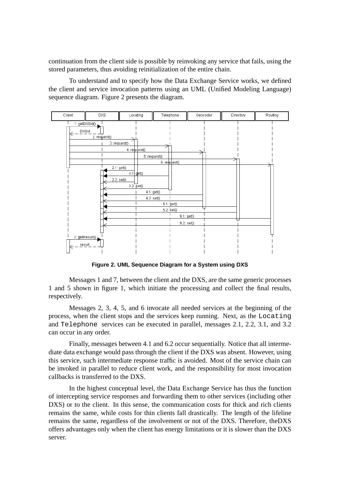continuation from the client side is possible by reinvoking any service that fails, using the stored parameters, thus avoiding reinitialization of the entire chain.

To understand and to specify how the Data Exchange Service works, we defined the client and service invocation patterns using an UML (Unified Modeling Language) sequence diagram. Figure [2](#page-5-0) presents the diagram.



**Figure 2. UML Sequence Diagram for a System using DXS**

<span id="page-5-0"></span>Messages 1 and 7, between the client and the DXS, are the same generic processes 1 and 5 shown in figure [1,](#page-4-0) which initiate the processing and collect the final results, respectively.

Messages 2, 3, 4, 5, and 6 invocate all needed services at the beginning of the process, when the client stops and the services keep running. Next, as the Locating and Telephone services can be executed in parallel, messages 2.1, 2.2, 3.1, and 3.2 can occur in any order.

Finally, messages between 4.1 and 6.2 occur sequentially. Notice that all intermediate data exchange would pass through the client if the DXS was absent. However, using this service, such intermediate response traffic is avoided. Most of the service chain can be invoked in parallel to reduce client work, and the responsibility for most invocation callbacks is transferred to the DXS.

In the highest conceptual level, the Data Exchange Service has thus the function of intercepting service responses and forwarding them to other services (including other DXS) or to the client. In this sense, the communication costs for thick and rich clients remains the same, while costs for thin clients fall drastically. The length of the lifeline remains the same, regardless of the involvement or not of the DXS. Therefore, theDXS offers advantages only when the client has energy limitations or it is slower than the DXS server.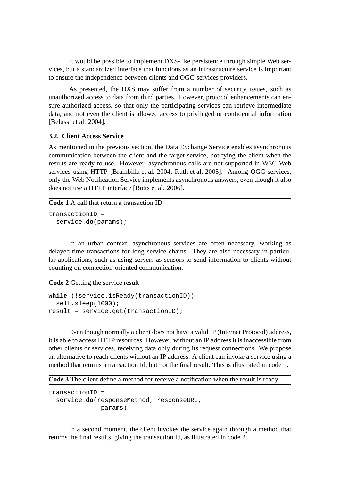It would be possible to implement DXS-like persistence through simple Web services, but a standardized interface that functions as an infrastructure service is important to ensure the independence between clients and OGC-services providers.

As presented, the DXS may suffer from a number of security issues, such as unauthorized access to data from third parties. However, protocol enhancements can ensure authorized access, so that only the participating services can retrieve intermediate data, and not even the client is allowed access to privileged or confidential information [\[Belussi et al. 2004\]](#page-13-13).

## **3.2. Client Access Service**

As mentioned in the previous section, the Data Exchange Service enables asynchronous communication between the client and the target service, notifying the client when the results are ready to use. However, asynchronous calls are not supported in W3C Web services using HTTP [\[Brambilla et al. 2004,](#page-13-9) [Ruth et al. 2005\]](#page-14-11). Among OGC services, only the Web Notification Service implements asynchronous answers, even though it also does not use a HTTP interface [\[Botts et al. 2006\]](#page-13-11).

#### **Code 1** A call that return a transaction ID

```
transactionID =
 service.do(params);
```
<span id="page-6-0"></span>In an urban context, asynchronous services are often necessary, working as delayed-time transactions for long service chains. They are also necessary in particular applications, such as using servers as sensors to send information to clients without counting on connection-oriented communication.

**Code 2** Getting the service result

```
while (!service.isReady(transactionID))
  self.sleep(1000);
result = service.get(transactionID);
```
<span id="page-6-1"></span>Even though normally a client does not have a valid IP (Internet Protocol) address, it is able to access HTTP resources. However, without an IP address it is inaccessible from other clients or services, receiving data only during its request connections. We propose an alternative to reach clients without an IP address. A client can invoke a service using a method that returns a transaction Id, but not the final result. This is illustrated in code [1.](#page-6-0)

**Code 3** The client define a method for receive a notification when the result is ready

```
transactionID =
  service.do(responseMethod, responseURI,
              params)
```
<span id="page-6-2"></span>In a second moment, the client invokes the service again through a method that returns the final results, giving the transaction Id, as illustrated in code [2.](#page-6-1)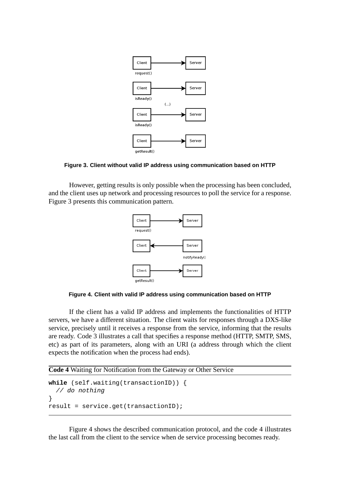

**Figure 3. Client without valid IP address using communication based on HTTP**

However, getting results is only possible when the processing has been concluded, and the client uses up network and processing resources to poll the service for a response. Figure [3](#page-7-0) presents this communication pattern.

<span id="page-7-1"></span><span id="page-7-0"></span>

**Figure 4. Client with valid IP address using communication based on HTTP**

If the client has a valid IP address and implements the functionalities of HTTP servers, we have a different situation. The client waits for responses through a DXS-like service, precisely until it receives a response from the service, informing that the results are ready. Code [3](#page-6-2) illustrates a call that specifies a response method (HTTP, SMTP, SMS, etc) as part of its parameters, along with an URI (a address through which the client expects the notification when the process had ends).

#### **Code 4** Waiting for Notification from the Gateway or Other Service

```
while (self.waiting(transactionID)) {
  // do nothing
}
result = service.get(trainsactionID);
```
<span id="page-7-2"></span>Figure [4](#page-7-1) shows the described communication protocol, and the code [4](#page-7-2) illustrates the last call from the client to the service when de service processing becomes ready.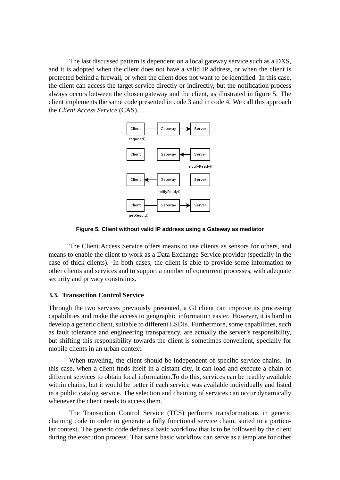The last discussed pattern is dependent on a local gateway service such as a DXS, and it is adopted when the client does not have a valid IP address, or when the client is protected behind a firewall, or when the client does not want to be identified. In this case, the client can access the target service directly or indirectly, but the notification process always occurs between the chosen gateway and the client, as illustrated in figure [5.](#page-8-0) The client implements the same code presented in code [3](#page-6-2) and in code [4.](#page-7-2) We call this approach the *Client Access Service* (CAS).

<span id="page-8-0"></span>

**Figure 5. Client without valid IP address using a Gateway as mediator**

The Client Access Service offers means to use clients as sensors for others, and means to enable the client to work as a Data Exchange Service provider (specially in the case of thick clients). In both cases, the client is able to provide some information to other clients and services and to support a number of concurrent processes, with adequate security and privacy constraints.

# **3.3. Transaction Control Service**

Through the two services previously presented, a GI client can improve its processing capabilities and make the access to geographic information easier. However, it is hard to develop a generic client, suitable to different LSDIs. Furthermore, some capabilities, such as fault tolerance and engineering transparency, are actually the server's responsibility, but shifting this responsibility towards the client is sometimes convenient, specially for mobile clients in an urban context.

When traveling, the client should be independent of specific service chains. In this case, when a client finds itself in a distant city, it can load and execute a chain of different services to obtain local information.To do this, services can be readily available within chains, but it would be better if each service was available individually and listed in a public catalog service. The selection and chaining of services can occur dynamically whenever the client needs to access them.

The Transaction Control Service (TCS) performs transformations in generic chaining code in order to generate a fully functional service chain, suited to a particular context. The generic code defines a basic workflow that is to be followed by the client during the execution process. That same basic workflow can serve as a template for other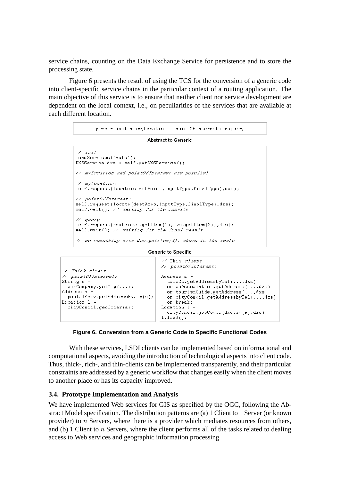service chains, counting on the Data Exchange Service for persistence and to store the processing state.

Figure [6](#page-9-0) presents the result of using the TCS for the conversion of a generic code into client-specific service chains in the particular context of a routing application. The main objective of this service is to ensure that neither client nor service development are dependent on the local context, i.e., on peculiarities of the services that are available at each different location.

> proc = init • (myLocation | point0fInterest) • query Abstract to Generic

```
11 init
loadServices('auto');
DXSService dxs = self.getDXSService();
// myLocation and pointOfInterest are parallel
// myLocation:
self.request(locate(startPoint,inputType,finalType),dxs);
// pointOfInterest;
self.request(locate(destArea.inputType.finalType).dxs);
self.wait(); // waiting for the results
\sqrt{2} query
self.request(route(dxs.getItem(1).dxs.getItem(2)).dxs):
self.wait(); // waiting for the final result
// do something with dxs.getItem(3), where is the route
```
**Generic to Specific** 



**Figure 6. Conversion from a Generic Code to Specific Functional Codes**

<span id="page-9-0"></span>With these services, LSDI clients can be implemented based on informational and computational aspects, avoiding the introduction of technological aspects into client code. Thus, thick-, rich-, and thin-clients can be implemented transparently, and their particular constraints are addressed by a generic workflow that changes easily when the client moves to another place or has its capacity improved.

# **3.4. Prototype Implementation and Analysis**

We have implemented Web services for GIS as specified by the OGC, following the Abstract Model specification. The distribution patterns are (a) 1 Client to 1 Server (or known provider) to  $n$  Servers, where there is a provider which mediates resources from others, and (b) 1 Client to n Servers, where the client performs all of the tasks related to dealing access to Web services and geographic information processing.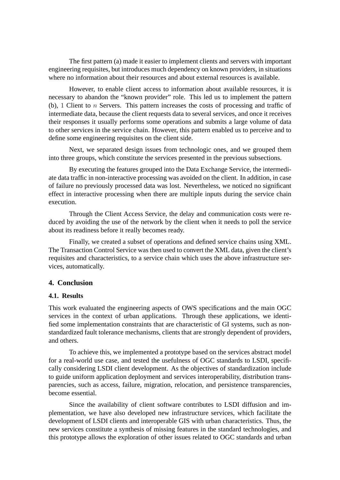The first pattern (a) made it easier to implement clients and servers with important engineering requisites, but introduces much dependency on known providers, in situations where no information about their resources and about external resources is available.

However, to enable client access to information about available resources, it is necessary to abandon the "known provider" role. This led us to implement the pattern (b), 1 Client to  $n$  Servers. This pattern increases the costs of processing and traffic of intermediate data, because the client requests data to several services, and once it receives their responses it usually performs some operations and submits a large volume of data to other services in the service chain. However, this pattern enabled us to perceive and to define some engineering requisites on the client side.

Next, we separated design issues from technologic ones, and we grouped them into three groups, which constitute the services presented in the previous subsections.

By executing the features grouped into the Data Exchange Service, the intermediate data traffic in non-interactive processing was avoided on the client. In addition, in case of failure no previously processed data was lost. Nevertheless, we noticed no significant effect in interactive processing when there are multiple inputs during the service chain execution.

Through the Client Access Service, the delay and communication costs were reduced by avoiding the use of the network by the client when it needs to poll the service about its readiness before it really becomes ready.

Finally, we created a subset of operations and defined service chains using XML. The Transaction Control Service was then used to convert the XML data, given the client's requisites and characteristics, to a service chain which uses the above infrastructure services, automatically.

#### **4. Conclusion**

## **4.1. Results**

This work evaluated the engineering aspects of OWS specifications and the main OGC services in the context of urban applications. Through these applications, we identified some implementation constraints that are characteristic of GI systems, such as nonstandardized fault tolerance mechanisms, clients that are strongly dependent of providers, and others.

To achieve this, we implemented a prototype based on the services abstract model for a real-world use case, and tested the usefulness of OGC standards to LSDI, specifically considering LSDI client development. As the objectives of standardization include to guide uniform application deployment and services interoperability, distribution transparencies, such as access, failure, migration, relocation, and persistence transparencies, become essential.

Since the availability of client software contributes to LSDI diffusion and implementation, we have also developed new infrastructure services, which facilitate the development of LSDI clients and interoperable GIS with urban characteristics. Thus, the new services constitute a synthesis of missing features in the standard technologies, and this prototype allows the exploration of other issues related to OGC standards and urban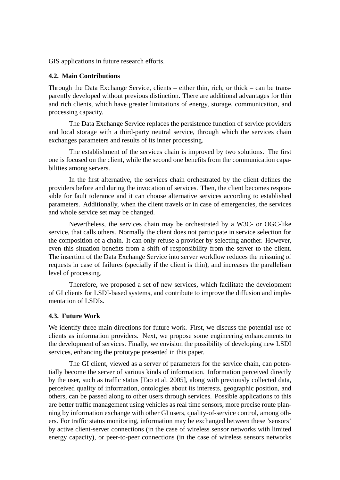GIS applications in future research efforts.

#### **4.2. Main Contributions**

Through the Data Exchange Service, clients – either thin, rich, or thick – can be transparently developed without previous distinction. There are additional advantages for thin and rich clients, which have greater limitations of energy, storage, communication, and processing capacity.

The Data Exchange Service replaces the persistence function of service providers and local storage with a third-party neutral service, through which the services chain exchanges parameters and results of its inner processing.

The establishment of the services chain is improved by two solutions. The first one is focused on the client, while the second one benefits from the communication capabilities among servers.

In the first alternative, the services chain orchestrated by the client defines the providers before and during the invocation of services. Then, the client becomes responsible for fault tolerance and it can choose alternative services according to established parameters. Additionally, when the client travels or in case of emergencies, the services and whole service set may be changed.

Nevertheless, the services chain may be orchestrated by a W3C- or OGC-like service, that calls others. Normally the client does not participate in service selection for the composition of a chain. It can only refuse a provider by selecting another. However, even this situation benefits from a shift of responsibility from the server to the client. The insertion of the Data Exchange Service into server workflow reduces the reissuing of requests in case of failures (specially if the client is thin), and increases the parallelism level of processing.

Therefore, we proposed a set of new services, which facilitate the development of GI clients for LSDI-based systems, and contribute to improve the diffusion and implementation of LSDIs.

# **4.3. Future Work**

We identify three main directions for future work. First, we discuss the potential use of clients as information providers. Next, we propose some engineering enhancements to the development of services. Finally, we envision the possibility of developing new LSDI services, enhancing the prototype presented in this paper.

The GI client, viewed as a server of parameters for the service chain, can potentially become the server of various kinds of information. Information perceived directly by the user, such as traffic status [\[Tao et al. 2005\]](#page-14-13), along with previously collected data, perceived quality of information, ontologies about its interests, geographic position, and others, can be passed along to other users through services. Possible applications to this are better traffic management using vehicles as real time sensors, more precise route planning by information exchange with other GI users, quality-of-service control, among others. For traffic status monitoring, information may be exchanged between these 'sensors' by active client-server connections (in the case of wireless sensor networks with limited energy capacity), or peer-to-peer connections (in the case of wireless sensors networks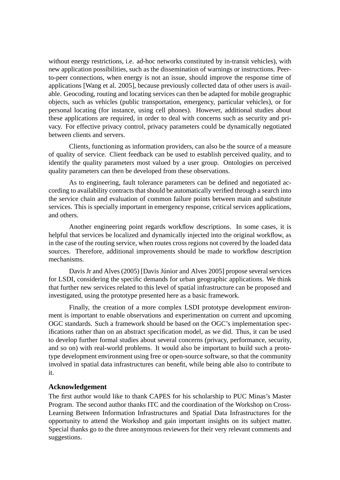without energy restrictions, i.e. ad-hoc networks constituted by in-transit vehicles), with new application possibilities, such as the dissemination of warnings or instructions. Peerto-peer connections, when energy is not an issue, should improve the response time of applications [\[Wang et al. 2005\]](#page-14-14), because previously collected data of other users is available. Geocoding, routing and locating services can then be adapted for mobile geographic objects, such as vehicles (public transportation, emergency, particular vehicles), or for personal locating (for instance, using cell phones). However, additional studies about these applications are required, in order to deal with concerns such as security and privacy. For effective privacy control, privacy parameters could be dynamically negotiated between clients and servers.

Clients, functioning as information providers, can also be the source of a measure of quality of service. Client feedback can be used to establish perceived quality, and to identify the quality parameters most valued by a user group. Ontologies on perceived quality parameters can then be developed from these observations.

As to engineering, fault tolerance parameters can be defined and negotiated according to availability contracts that should be automatically verified through a search into the service chain and evaluation of common failure points between main and substitute services. This is specially important in emergency response, critical services applications, and others.

Another engineering point regards workflow descriptions. In some cases, it is helpful that services be localized and dynamically injected into the original workflow, as in the case of the routing service, when routes cross regions not covered by the loaded data sources. Therefore, additional improvements should be made to workflow description mechanisms.

Davis Jr and Alves (2005) [Davis Júnior and Alves 2005] propose several services for LSDI, considering the specific demands for urban geographic applications. We think that further new services related to this level of spatial infrastructure can be proposed and investigated, using the prototype presented here as a basic framework.

Finally, the creation of a more complex LSDI prototype development environment is important to enable observations and experimentation on current and upcoming OGC standards. Such a framework should be based on the OGC's implementation specifications rather than on an abstract specification model, as we did. Thus, it can be used to develop further formal studies about several concerns (privacy, performance, security, and so on) with real-world problems. It would also be important to build such a prototype development environment using free or open-source software, so that the community involved in spatial data infrastructures can benefit, while being able also to contribute to it.

#### **Acknowledgement**

The first author would like to thank CAPES for his scholarship to PUC Minas's Master Program. The second author thanks ITC and the coordination of the Workshop on Cross-Learning Between Information Infrastructures and Spatial Data Infrastructures for the opportunity to attend the Workshop and gain important insights on its subject matter. Special thanks go to the three anonymous reviewers for their very relevant comments and suggestions.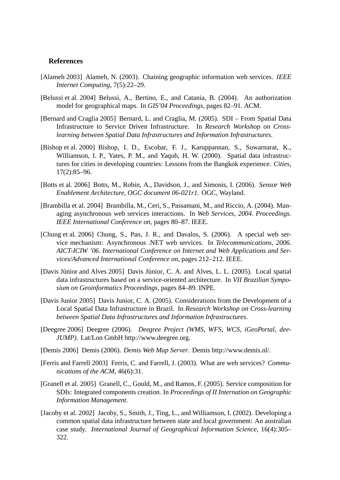#### **References**

- <span id="page-13-5"></span>[Alameh 2003] Alameh, N. (2003). Chaining geographic information web services. *IEEE Internet Computing*, 7(5):22–29.
- <span id="page-13-13"></span>[Belussi et al. 2004] Belussi, A., Bertino, E., and Catania, B. (2004). An authorization model for geographical maps. In *GIS'04 Proceedings*, pages 82–91. ACM.
- <span id="page-13-7"></span>[Bernard and Craglia 2005] Bernard, L. and Craglia, M. (2005). SDI – From Spatial Data Infrastructure to Service Driven Infrastructure. In *Research Workshop on Crosslearning between Spatial Data Infrastructures and Information Infrastructures*.
- <span id="page-13-4"></span>[Bishop et al. 2000] Bishop, I. D., Escobar, F. J., Karuppannan, S., Suwarnarat, K., Williamson, I. P., Yates, P. M., and Yaqub, H. W. (2000). Spatial data infrastructures for cities in developing countries: Lessons from the Bangkok experience. *Cities*, 17(2):85–96.
- <span id="page-13-11"></span>[Botts et al. 2006] Botts, M., Robin, A., Davidson, J., and Simonis, I. (2006). *Sensor Web Enablement Architecture, OGC document 06-021r1.* OGC, Wayland.
- <span id="page-13-9"></span>[Brambilla et al. 2004] Brambilla, M., Ceri, S., Passamani, M., and Riccio, A. (2004). Managing asynchronous web services interactions. In *Web Services, 2004. Proceedings. IEEE International Conference on*, pages 80–87. IEEE.
- <span id="page-13-10"></span>[Chung et al. 2006] Chung, S., Pan, J. R., and Davalos, S. (2006). A special web service mechanism: Asynchronous .NET web services. In *Telecommunications, 2006. AICT-ICIW '06. International Conference on Internet and Web Applications and Services/Advanced International Conference on*, pages 212–212. IEEE.
- <span id="page-13-12"></span>[Davis Júnior and Alves 2005] Davis Júnior, C. A. and Alves, L. L. (2005). Local spatial data infrastructures based on a service-oriented architecture. In *VII Brazilian Symposium on Geoinformatics Proceedings*, pages 84–89. INPE.
- <span id="page-13-3"></span>[Davis Junior 2005] Davis Junior, C. A. (2005). Considerations from the Development of a Local Spatial Data Infrastructure in Brazil. In *Research Workshop on Cross-learning between Spatial Data Infrastructures and Information Infrastructures*.
- <span id="page-13-1"></span>[Deegree 2006] Deegree (2006). *Deegree Project (WMS, WFS, WCS, iGeoPortal, dee-JUMP)*. Lat/Lon GmbH http://www.deegree.org.
- <span id="page-13-2"></span>[Demis 2006] Demis (2006). *Demis Web Map Server*. Demis http://www.demis.nl/.
- <span id="page-13-8"></span>[Ferris and Farrell 2003] Ferris, C. and Farrell, J. (2003). What are web services? *Communications of the ACM*, 46(6):31.
- <span id="page-13-6"></span>[Granell et al. 2005] Granell, C., Gould, M., and Ramos, F. (2005). Service composition for SDIs: Integrated components creation. In *Proceedings of II Internation on Geographic Information Management*.
- <span id="page-13-0"></span>[Jacoby et al. 2002] Jacoby, S., Smith, J., Ting, L., and Williamson, I. (2002). Developing a common spatial data infrastructure between state and local government: An australian case study. *International Journal of Geographical Information Science*, 16(4):305– 322.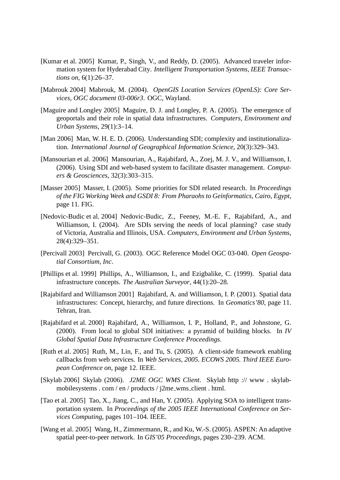- <span id="page-14-7"></span>[Kumar et al. 2005] Kumar, P., Singh, V., and Reddy, D. (2005). Advanced traveler information system for Hyderabad City. *Intelligent Transportation Systems, IEEE Transactions on*, 6(1):26–37.
- <span id="page-14-12"></span>[Mabrouk 2004] Mabrouk, M. (2004). *OpenGIS Location Services (OpenLS): Core Services, OGC document 03-006r3*. OGC, Wayland.
- <span id="page-14-10"></span>[Maguire and Longley 2005] Maguire, D. J. and Longley, P. A. (2005). The emergence of geoportals and their role in spatial data infrastructures. *Computers, Environment and Urban Systems*, 29(1):3–14.
- <span id="page-14-5"></span>[Man 2006] Man, W. H. E. D. (2006). Understanding SDI; complexity and institutionalization. *International Journal of Geographical Information Science*, 20(3):329–343.
- <span id="page-14-8"></span>[Mansourian et al. 2006] Mansourian, A., Rajabifard, A., Zoej, M. J. V., and Williamson, I. (2006). Using SDI and web-based system to facilitate disaster management. *Computers & Geosciences*, 32(3):303–315.
- <span id="page-14-9"></span>[Masser 2005] Masser, I. (2005). Some priorities for SDI related research. In *Proceedings of the FIG Working Week and GSDI 8: From Pharaohs to Geinformatics, Cairo, Egypt*, page 11. FIG.
- <span id="page-14-1"></span>[Nedovic-Budic et al. 2004] Nedovic-Budic, Z., Feeney, M.-E. F., Rajabifard, A., and Williamson, I. (2004). Are SDIs serving the needs of local planning? case study of Victoria, Australia and Illinois, USA. *Computers, Environment and Urban Systems*, 28(4):329–351.
- <span id="page-14-0"></span>[Percivall 2003] Percivall, G. (2003). OGC Reference Model OGC 03-040. *Open Geospatial Consortium, Inc*.
- <span id="page-14-3"></span>[Phillips et al. 1999] Phillips, A., Williamson, I., and Ezigbalike, C. (1999). Spatial data infrastructure concepts. *The Australian Surveyor*, 44(1):20–28.
- <span id="page-14-4"></span>[Rajabifard and Williamson 2001] Rajabifard, A. and Williamson, I. P. (2001). Spatial data infrastructures: Concept, hierarchy, and future directions. In *Geomatics'80*, page 11. Tehran, Iran.
- <span id="page-14-2"></span>[Rajabifard et al. 2000] Rajabifard, A., Williamson, I. P., Holland, P., and Johnstone, G. (2000). From local to global SDI initiatives: a pyramid of building blocks. In *IV Global Spatial Data Infrastructure Conference Proceedings*.
- <span id="page-14-11"></span>[Ruth et al. 2005] Ruth, M., Lin, F., and Tu, S. (2005). A client-side framework enabling callbacks from web services. In *Web Services, 2005. ECOWS 2005. Third IEEE European Conference on*, page 12. IEEE.
- <span id="page-14-6"></span>[Skylab 2006] Skylab (2006). *J2ME OGC WMS Client*. Skylab http :// www . skylabmobilesystems . com / en / products / j2me\_wms\_client . html.
- <span id="page-14-13"></span>[Tao et al. 2005] Tao, X., Jiang, C., and Han, Y. (2005). Applying SOA to intelligent transportation system. In *Proceedings of the 2005 IEEE International Conference on Services Computing*, pages 101–104. IEEE.
- <span id="page-14-14"></span>[Wang et al. 2005] Wang, H., Zimmermann, R., and Ku, W.-S. (2005). ASPEN: An adaptive spatial peer-to-peer network. In *GIS'05 Proceedings*, pages 230–239. ACM.